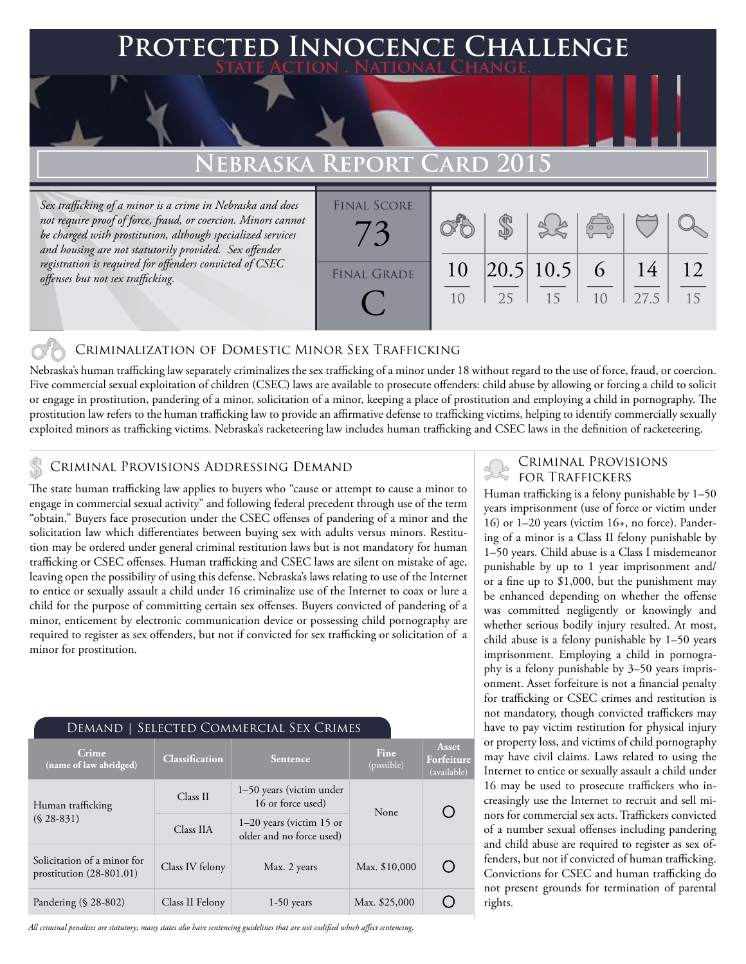# **FED INNOCENCE CHALLENGE State Action . National Change.**

## **Nebraska Report Card 2015**

*Sex trafficking of a minor is a crime in Nebraska and does not require proof of force, fraud, or coercion. Minors cannot be charged with prostitution, although specialized services and housing are not statutorily provided. Sex offender registration is required for offenders convicted of CSEC offenses but not sex trafficking.*

| <b>FINAL SCORE</b> |    |    |                 |                                                |      |    |
|--------------------|----|----|-----------------|------------------------------------------------|------|----|
|                    |    |    |                 |                                                |      |    |
|                    |    |    |                 | $\begin{pmatrix} 0 & 0 \\ 0 & 0 \end{pmatrix}$ |      |    |
|                    |    |    |                 |                                                |      |    |
|                    |    |    |                 |                                                | 14   | 12 |
| <b>FINAL GRADE</b> | 10 |    | $ 20.5 10.5 $ 6 |                                                |      |    |
|                    | 10 | 25 | 15              | 1 <sub>0</sub>                                 | 27.5 | 15 |
|                    |    |    |                 |                                                |      |    |
|                    |    |    |                 |                                                |      |    |

### Criminalization of Domestic Minor Sex Trafficking

Nebraska's human trafficking law separately criminalizes the sex trafficking of a minor under 18 without regard to the use of force, fraud, or coercion. Five commercial sexual exploitation of children (CSEC) laws are available to prosecute offenders: child abuse by allowing or forcing a child to solicit or engage in prostitution, pandering of a minor, solicitation of a minor, keeping a place of prostitution and employing a child in pornography. The prostitution law refers to the human trafficking law to provide an affirmative defense to trafficking victims, helping to identify commercially sexually exploited minors as trafficking victims. Nebraska's racketeering law includes human trafficking and CSEC laws in the definition of racketeering.

### CRIMINAL PROVISIONS ADDRESSING DEMAND

The state human trafficking law applies to buyers who "cause or attempt to cause a minor to engage in commercial sexual activity" and following federal precedent through use of the term "obtain." Buyers face prosecution under the CSEC offenses of pandering of a minor and the solicitation law which differentiates between buying sex with adults versus minors. Restitution may be ordered under general criminal restitution laws but is not mandatory for human trafficking or CSEC offenses. Human trafficking and CSEC laws are silent on mistake of age, leaving open the possibility of using this defense. Nebraska's laws relating to use of the Internet to entice or sexually assault a child under 16 criminalize use of the Internet to coax or lure a child for the purpose of committing certain sex offenses. Buyers convicted of pandering of a minor, enticement by electronic communication device or possessing child pornography are required to register as sex offenders, but not if convicted for sex trafficking or solicitation of a minor for prostitution.

| DEMAND   SELECTED COMMERCIAL SEX CRIMES                   |                       |                                                        |                    |                                    |  |  |  |
|-----------------------------------------------------------|-----------------------|--------------------------------------------------------|--------------------|------------------------------------|--|--|--|
| Crime<br>(name of law abridged)                           | <b>Classification</b> | <b>Sentence</b>                                        | Fine<br>(possible) | Asset<br>Forfeiture<br>(available) |  |  |  |
| Human trafficking<br>$(S.28-831)$                         | Class II              | 1–50 years (victim under<br>16 or force used)          | None               |                                    |  |  |  |
|                                                           | Class IIA             | $1-20$ years (victim 15 or<br>older and no force used) |                    |                                    |  |  |  |
| Solicitation of a minor for<br>prostitution $(28-801.01)$ | Class IV felony       | Max. 2 years                                           | Max. \$10,000      |                                    |  |  |  |
| Pandering $(\S$ 28-802)                                   | Class II Felony       | $1-50$ years                                           | Max. \$25,000      |                                    |  |  |  |

*All criminal penalties are statutory; many states also have sentencing guidelines that are not codified which affect sentencing.* 

# Criminal Provisions

Human trafficking is a felony punishable by 1–50 years imprisonment (use of force or victim under 16) or 1–20 years (victim 16+, no force). Pandering of a minor is a Class II felony punishable by 1–50 years. Child abuse is a Class I misdemeanor punishable by up to 1 year imprisonment and/ or a fine up to \$1,000, but the punishment may be enhanced depending on whether the offense was committed negligently or knowingly and whether serious bodily injury resulted. At most, child abuse is a felony punishable by 1–50 years imprisonment. Employing a child in pornography is a felony punishable by 3–50 years imprisonment. Asset forfeiture is not a financial penalty for trafficking or CSEC crimes and restitution is not mandatory, though convicted traffickers may have to pay victim restitution for physical injury or property loss, and victims of child pornography may have civil claims. Laws related to using the Internet to entice or sexually assault a child under 16 may be used to prosecute traffickers who increasingly use the Internet to recruit and sell minors for commercial sex acts. Traffickers convicted of a number sexual offenses including pandering and child abuse are required to register as sex offenders, but not if convicted of human trafficking. Convictions for CSEC and human trafficking do not present grounds for termination of parental rights.